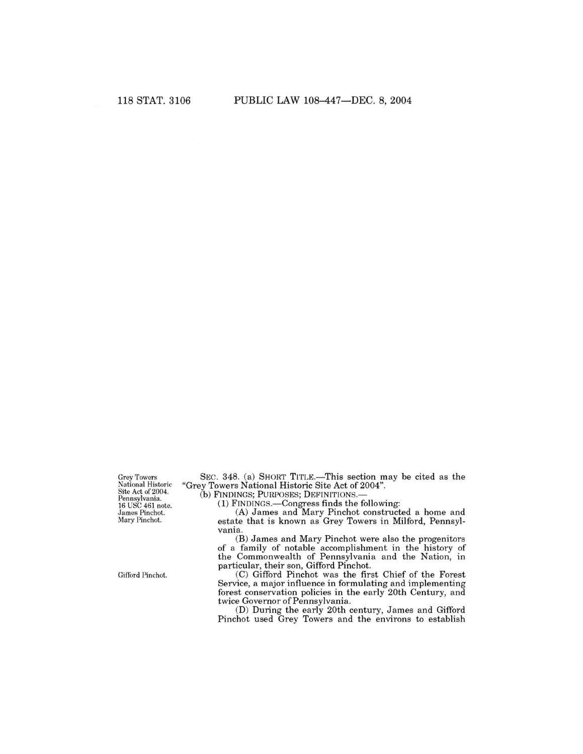Grey Towers National Historic<br>Site Act of 2004. Pennsylvania.<br>16 USC 461 note. •James Pinchot. Mary Pinchot.

Gifford Pinchot.

SEC. 348. (a) SHORT TITLE.—This section may be cited as the "Grey Towers National Historic Site Act of 2004".

(b) FINDINGS; PURPOSES; DEFINITIONS.—

(1) FINDINGS.—Congress finds the following:

(A) James and Mary Pinchot constructed a home and estate that is known as Grey Towers in Milford, Pennsylvania.

(B) James and Mary Pinchot were also the progenitors of a family of notable accomplishment in the history of the Commonwealth of Pennsylvania and the Nation, in particular, their son, Gifford Pinchot.

(C) Gifford Pinchot was the first Chief of the Forest Service, a major influence in formulating and implementing forest conservation policies in the early 20th Century, and twice Governor of Pennsylvania.

(D) During the early 20th century, James and Gifford Pinchot used Grey Towers and the environs to establish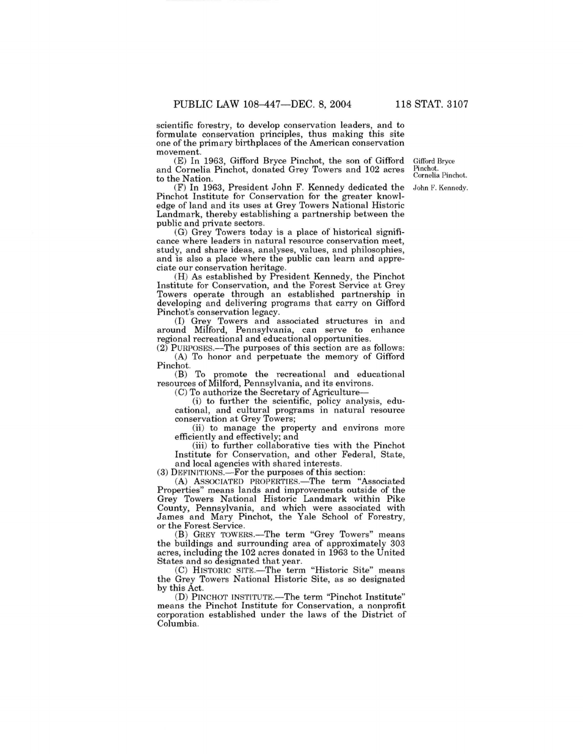scientific forestry, to develop conservation leaders, and to formulate conservation principles, thus making this site one of the primary birthplaces of the American conservation movement.

 $(E)$  In 1963, Gifford Bryce Pinchot, the son of Gifford and Cornelia Pinchot, donated Grey Towers and 102 acres to the Nation.

Gifford Bryce Pinchot. Cornelia Pinchot. John F. Kennedy.

(F) In 1963, President John F. Kennedy dedicated the Pinchot Institute for Conservation for the greater knowledge of land and its uses at Grey Towers National Historic Landmark, thereby establishing a partnership between the public and private sectors.

(G) Grey Towers today is a place of historical significance where leaders in natural resource conservation meet, study, and share ideas, analyses, values, and philosophies, and is also a place where the public can learn and appreciate our conservation heritage.

(H) As established by President Kennedy, the Pinchot Institute for Conservation, and the Forest Service at Grey Towers operate through an established partnership in developing and delivering programs that carry on Gifford Pinchot's conservation legacy.

(I) Grey Towers and associated structures in and around Milford, Pennsylvania, can serve to enhance regional recreational and educational opportunities.

(2) PURPOSES.—The purposes of this section are as follows: (A) To honor and perpetuate the memory of Gifford Pinchot.

(B) To promote the recreational and educational resources of Milford, Pennsylvania, and its environs.

(C) To authorize the Secretary of Agriculture—

(i) to further the scientific, policy analysis, educational, and cultural programs in natural resource conservation at Grey Towers;

(ii) to manage the property and environs more efficiently and effectively; and

(iii) to further collaborative ties with the Pinchot Institute for Conservation, and other Federal, State, and local agencies with shared interests.

(3) DEFINITIONS.—For the purposes of this section:

(A) ASSOCIATED PROPERTIES.—The term "Associated Properties" means lands and improvements outside of the Grey Towers National Historic Landmark within Pike County, Pennsylvania, and which were associated with James and Mary Pinchot, the Yale School of Forestry, or the Forest Service.

(B) GREY TOWERS.—The term "Grey Towers" means the buildings and surrounding area of approximately 303 acres, including the 102 acres donated in 1963 to the United States and so designated that year.

(C) HISTORIC SITE.—The term "Historic Site" means the Grey Towers National Historic Site, as so designated by this Act.

(D) PINCHOT INSTITUTE.—The term "Pinchot Institute" means the Pinchot Institute for Conservation, a nonprofit corporation established under the laws of the District of Columbia.